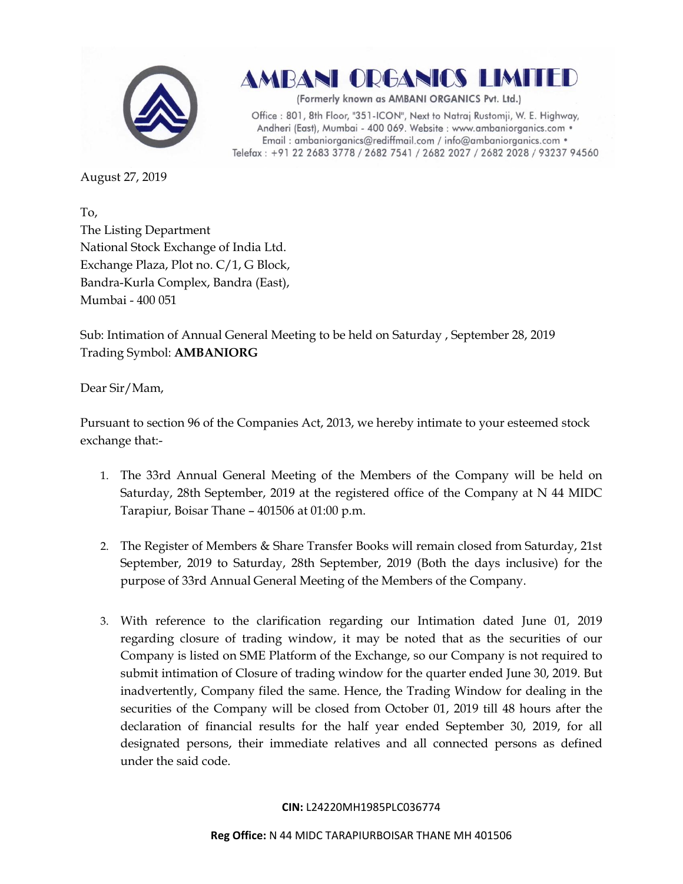

**AMBANI ORGANICS LIMITED** 

(Formerly known as AMBANI ORGANICS Pvt. Ltd.)

Office: 801, 8th Floor, "351-ICON", Next to Natraj Rustomji, W. E. Highway, Andheri (East), Mumbai - 400 069. Website : www.ambaniorganics.com · Email: ambaniorganics@rediffmail.com / info@ambaniorganics.com . Telefax: +91 22 2683 3778 / 2682 7541 / 2682 2027 / 2682 2028 / 93237 94560

August 27, 2019

To, The Listing Department National Stock Exchange of India Ltd. Exchange Plaza, Plot no. C/1, G Block, Bandra-Kurla Complex, Bandra (East), Mumbai - 400 051

Sub: Intimation of Annual General Meeting to be held on Saturday , September 28, 2019 Trading Symbol: **AMBANIORG**

Dear Sir/Mam,

Pursuant to section 96 of the Companies Act, 2013, we hereby intimate to your esteemed stock exchange that:-

- 1. The 33rd Annual General Meeting of the Members of the Company will be held on Saturday, 28th September, 2019 at the registered office of the Company at N 44 MIDC Tarapiur, Boisar Thane – 401506 at 01:00 p.m.
- 2. The Register of Members & Share Transfer Books will remain closed from Saturday, 21st September, 2019 to Saturday, 28th September, 2019 (Both the days inclusive) for the purpose of 33rd Annual General Meeting of the Members of the Company.
- 3. With reference to the clarification regarding our Intimation dated June 01, 2019 regarding closure of trading window, it may be noted that as the securities of our Company is listed on SME Platform of the Exchange, so our Company is not required to submit intimation of Closure of trading window for the quarter ended June 30, 2019. But inadvertently, Company filed the same. Hence, the Trading Window for dealing in the securities of the Company will be closed from October 01, 2019 till 48 hours after the declaration of financial results for the half year ended September 30, 2019, for all designated persons, their immediate relatives and all connected persons as defined under the said code.

### **CIN:** L24220MH1985PLC036774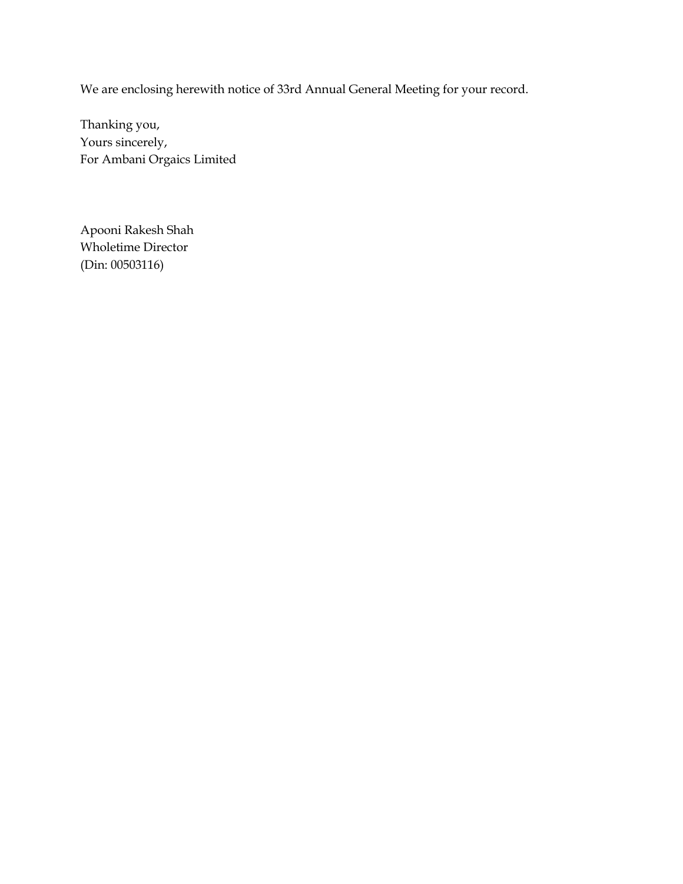We are enclosing herewith notice of 33rd Annual General Meeting for your record.

Thanking you, Yours sincerely, For Ambani Orgaics Limited

Apooni Rakesh Shah Wholetime Director (Din: 00503116)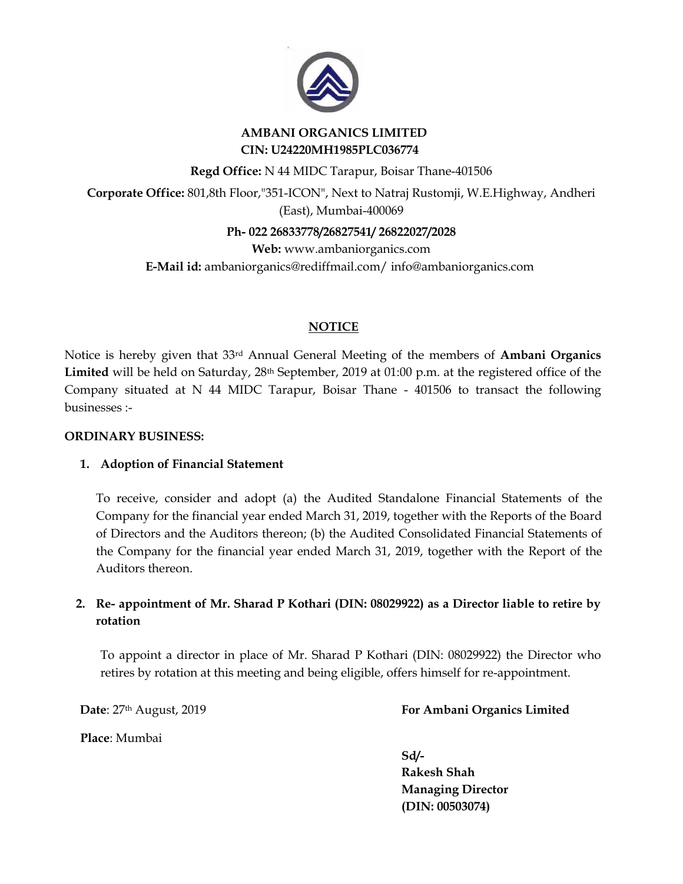

## **AMBANI ORGANICS LIMITED CIN: U24220MH1985PLC036774**

**Regd Office:** N 44 MIDC Tarapur, Boisar Thane-401506

**Corporate Office:** 801,8th Floor,"351-ICON", Next to Natraj Rustomji, W.E.Highway, Andheri (East), Mumbai-400069

**Ph- 022 26833778/26827541/ 26822027/2028**

**Web:** www.ambaniorganics.com **E-Mail id:** [ambaniorganics@rediffmail.com/](http://ambaniorganics@rediffmail.com/) [info@ambaniorganics.com](mailto:info@ambaniorganics.com)

# **NOTICE**

Notice is hereby given that 33rd Annual General Meeting of the members of **Ambani Organics**  Limited will be held on Saturday, 28<sup>th</sup> September, 2019 at 01:00 p.m. at the registered office of the Company situated at N 44 MIDC Tarapur, Boisar Thane - 401506 to transact the following businesses :-

## **ORDINARY BUSINESS:**

## **1. Adoption of Financial Statement**

To receive, consider and adopt (a) the Audited Standalone Financial Statements of the Company for the financial year ended March 31, 2019, together with the Reports of the Board of Directors and the Auditors thereon; (b) the Audited Consolidated Financial Statements of the Company for the financial year ended March 31, 2019, together with the Report of the Auditors thereon.

# **2. Re- appointment of Mr. Sharad P Kothari (DIN: 08029922) as a Director liable to retire by rotation**

To appoint a director in place of Mr. Sharad P Kothari (DIN: 08029922) the Director who retires by rotation at this meeting and being eligible, offers himself for re-appointment.

**Date**: 27th August, 2019 **For Ambani Organics Limited**

**Place**: Mumbai

**Sd/-**

 **Rakesh Shah Managing Director (DIN: 00503074)**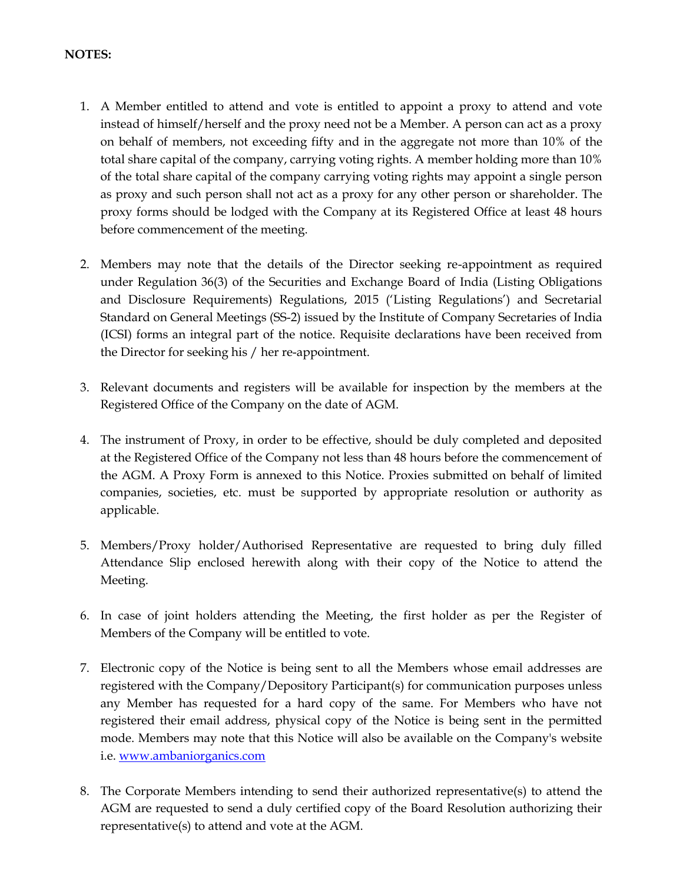### **NOTES:**

- 1. A Member entitled to attend and vote is entitled to appoint a proxy to attend and vote instead of himself/herself and the proxy need not be a Member. A person can act as a proxy on behalf of members, not exceeding fifty and in the aggregate not more than 10% of the total share capital of the company, carrying voting rights. A member holding more than 10% of the total share capital of the company carrying voting rights may appoint a single person as proxy and such person shall not act as a proxy for any other person or shareholder. The proxy forms should be lodged with the Company at its Registered Office at least 48 hours before commencement of the meeting.
- 2. Members may note that the details of the Director seeking re-appointment as required under Regulation 36(3) of the Securities and Exchange Board of India (Listing Obligations and Disclosure Requirements) Regulations, 2015 ('Listing Regulations') and Secretarial Standard on General Meetings (SS-2) issued by the Institute of Company Secretaries of India (ICSI) forms an integral part of the notice. Requisite declarations have been received from the Director for seeking his / her re-appointment.
- 3. Relevant documents and registers will be available for inspection by the members at the Registered Office of the Company on the date of AGM.
- 4. The instrument of Proxy, in order to be effective, should be duly completed and deposited at the Registered Office of the Company not less than 48 hours before the commencement of the AGM. A Proxy Form is annexed to this Notice. Proxies submitted on behalf of limited companies, societies, etc. must be supported by appropriate resolution or authority as applicable.
- 5. Members/Proxy holder/Authorised Representative are requested to bring duly filled Attendance Slip enclosed herewith along with their copy of the Notice to attend the Meeting.
- 6. In case of joint holders attending the Meeting, the first holder as per the Register of Members of the Company will be entitled to vote.
- 7. Electronic copy of the Notice is being sent to all the Members whose email addresses are registered with the Company/Depository Participant(s) for communication purposes unless any Member has requested for a hard copy of the same. For Members who have not registered their email address, physical copy of the Notice is being sent in the permitted mode. Members may note that this Notice will also be available on the Company's website i.e[. www.ambaniorganics.com](http://www.ambaniorganics.com/)
- 8. The Corporate Members intending to send their authorized representative(s) to attend the AGM are requested to send a duly certified copy of the Board Resolution authorizing their representative(s) to attend and vote at the AGM.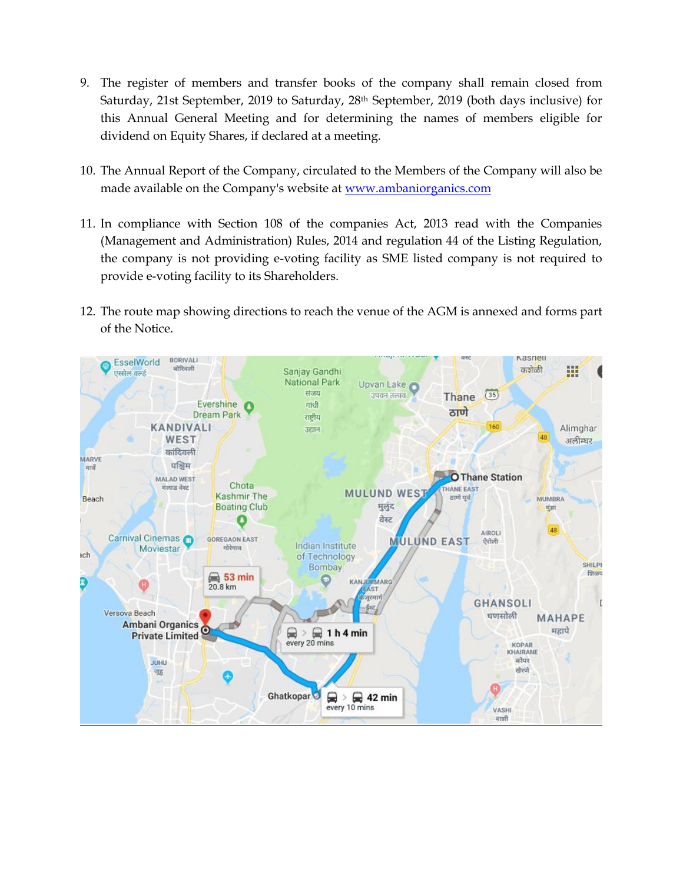- 9. The register of members and transfer books of the company shall remain closed from Saturday, 21st September, 2019 to Saturday, 28<sup>th</sup> September, 2019 (both days inclusive) for this Annual General Meeting and for determining the names of members eligible for dividend on Equity Shares, if declared at a meeting.
- 10. The Annual Report of the Company, circulated to the Members of the Company will also be made available on the Company's website at <u>www.ambaniorganics.com</u>
- 11. In compliance with Section 108 of the companies Act, 2013 read with the Companies (Management and Administration) Rules, 2014 and regulation 44 of the Listing Regulation, the company is not providing e-voting facility as SME listed company is not required to provide e-voting facility to its Shareholders.
- 12. The route map showing directions to reach the venue of the AGM is annexed and forms part of the Notice.

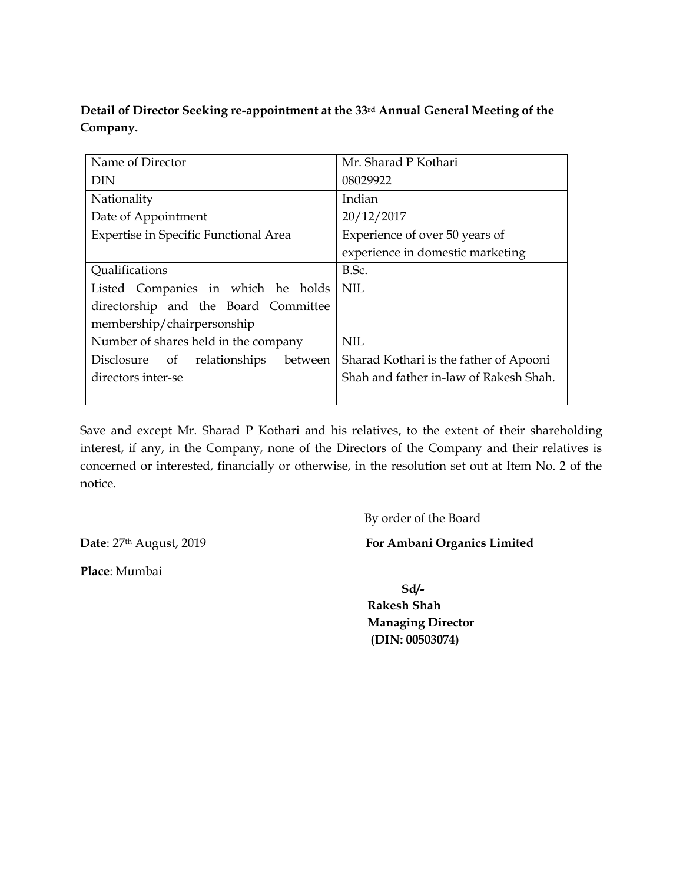**Detail of Director Seeking re-appointment at the 33rd Annual General Meeting of the Company.** 

| Name of Director                             | Mr. Sharad P Kothari                   |  |  |  |
|----------------------------------------------|----------------------------------------|--|--|--|
| <b>DIN</b>                                   | 08029922                               |  |  |  |
| Nationality                                  | Indian                                 |  |  |  |
| Date of Appointment                          | 20/12/2017                             |  |  |  |
| <b>Expertise in Specific Functional Area</b> | Experience of over 50 years of         |  |  |  |
|                                              | experience in domestic marketing       |  |  |  |
| Qualifications                               | B.Sc.                                  |  |  |  |
| Listed Companies in which he holds           | <b>NIL</b>                             |  |  |  |
| directorship and the Board Committee         |                                        |  |  |  |
| membership/chairpersonship                   |                                        |  |  |  |
| Number of shares held in the company         | <b>NIL</b>                             |  |  |  |
| Disclosure<br>of<br>relationships<br>between | Sharad Kothari is the father of Apooni |  |  |  |
| directors inter-se                           | Shah and father in-law of Rakesh Shah. |  |  |  |
|                                              |                                        |  |  |  |

Save and except Mr. Sharad P Kothari and his relatives, to the extent of their shareholding interest, if any, in the Company, none of the Directors of the Company and their relatives is concerned or interested, financially or otherwise, in the resolution set out at Item No. 2 of the notice.

By order of the Board

**Date**: 27<sup>th</sup> August, 2019 **For Ambani Organics Limited** 

**Place**: Mumbai

**Sd/-**

 **Rakesh Shah Managing Director (DIN: 00503074)**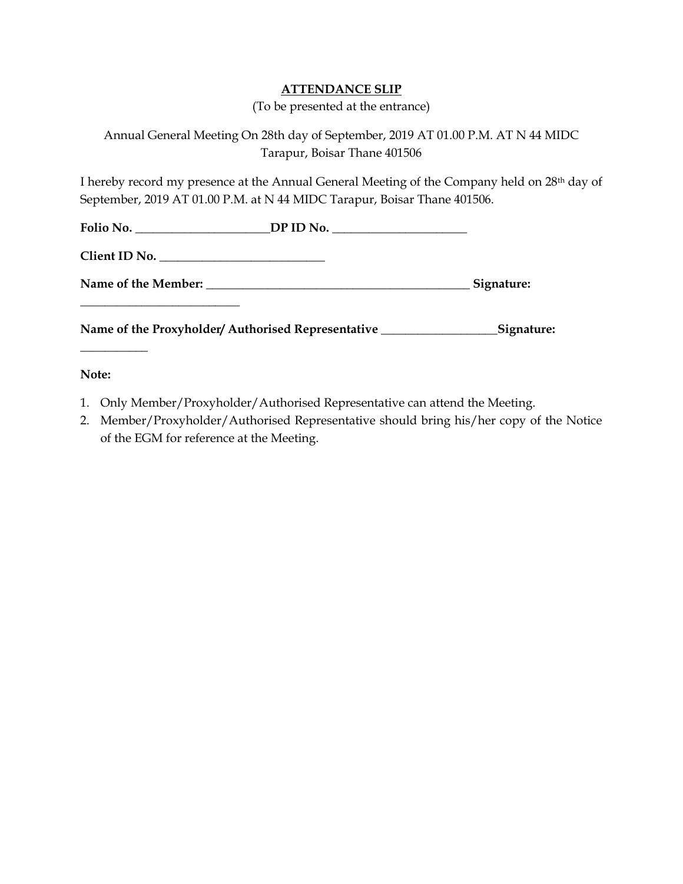## **ATTENDANCE SLIP**

(To be presented at the entrance)

# Annual General Meeting On 28th day of September, 2019 AT 01.00 P.M. AT N 44 MIDC Tarapur, Boisar Thane 401506

I hereby record my presence at the Annual General Meeting of the Company held on 28th day of September, 2019 AT 01.00 P.M. at N 44 MIDC Tarapur, Boisar Thane 401506.

|  | Folio No. __________________________DP ID No. __________________________________ |  |
|--|----------------------------------------------------------------------------------|--|
|  |                                                                                  |  |
|  |                                                                                  |  |
|  |                                                                                  |  |

**Note:**

**\_\_\_\_\_\_\_\_\_\_\_**

- 1. Only Member/Proxyholder/Authorised Representative can attend the Meeting.
- 2. Member/Proxyholder/Authorised Representative should bring his/her copy of the Notice of the EGM for reference at the Meeting.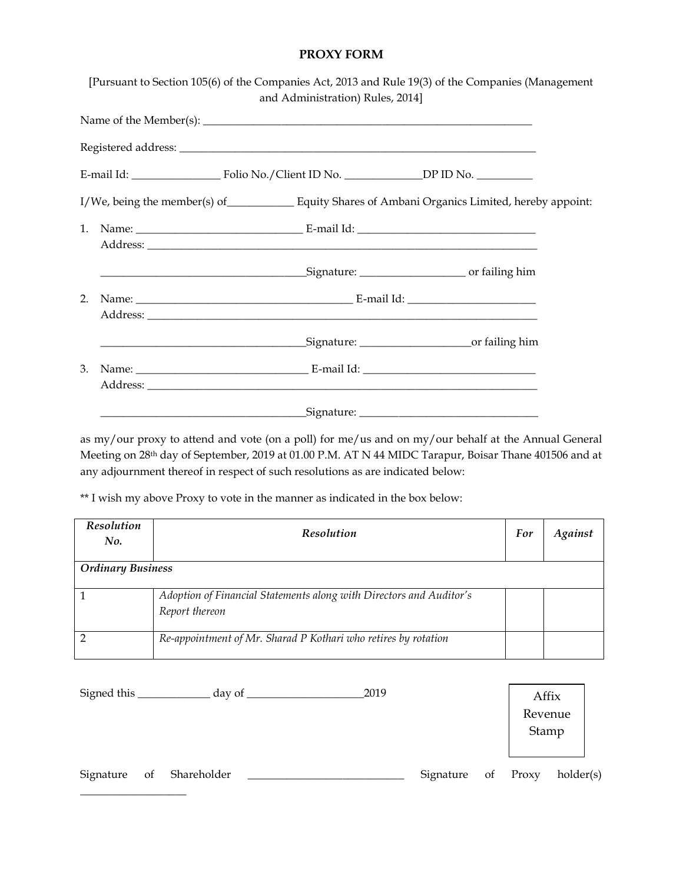### **PROXY FORM**

|                | [Pursuant to Section 105(6) of the Companies Act, 2013 and Rule 19(3) of the Companies (Management<br>and Administration) Rules, 2014] |  |
|----------------|----------------------------------------------------------------------------------------------------------------------------------------|--|
|                | Name of the Member(s): $\sqrt{\frac{m}{m}}$                                                                                            |  |
|                |                                                                                                                                        |  |
|                | E-mail Id: Folio No./Client ID No. _________________________DP ID No. ___________                                                      |  |
|                | I/We, being the member(s) of Equity Shares of Ambani Organics Limited, hereby appoint:                                                 |  |
| $\mathbf{1}$ . |                                                                                                                                        |  |
|                |                                                                                                                                        |  |
| 2.             |                                                                                                                                        |  |
|                | <u>Signature: contract of failing him</u>                                                                                              |  |
| 3.             |                                                                                                                                        |  |
|                |                                                                                                                                        |  |

as my/our proxy to attend and vote (on a poll) for me/us and on my/our behalf at the Annual General Meeting on 28th day of September, 2019 at 01.00 P.M. AT N 44 MIDC Tarapur, Boisar Thane 401506 and at any adjournment thereof in respect of such resolutions as are indicated below:

\*\* I wish my above Proxy to vote in the manner as indicated in the box below:

\_\_\_\_\_\_\_\_\_\_\_\_\_\_\_\_\_\_\_

| Resolution<br>No.        | <b>Resolution</b>                                                                     | For | <b>Against</b> |
|--------------------------|---------------------------------------------------------------------------------------|-----|----------------|
| <b>Ordinary Business</b> |                                                                                       |     |                |
|                          | Adoption of Financial Statements along with Directors and Auditor's<br>Report thereon |     |                |
|                          | Re-appointment of Mr. Sharad P Kothari who retires by rotation                        |     |                |

| Signed this |    | day of $\overline{\phantom{a}}$ |  | 2019 |           |    |         | Affix     |
|-------------|----|---------------------------------|--|------|-----------|----|---------|-----------|
|             |    |                                 |  |      |           |    | Revenue |           |
|             |    |                                 |  |      |           |    | Stamp   |           |
|             |    |                                 |  |      |           |    |         |           |
| Signature   | of | Shareholder                     |  |      | Signature | of | Proxy   | holder(s) |